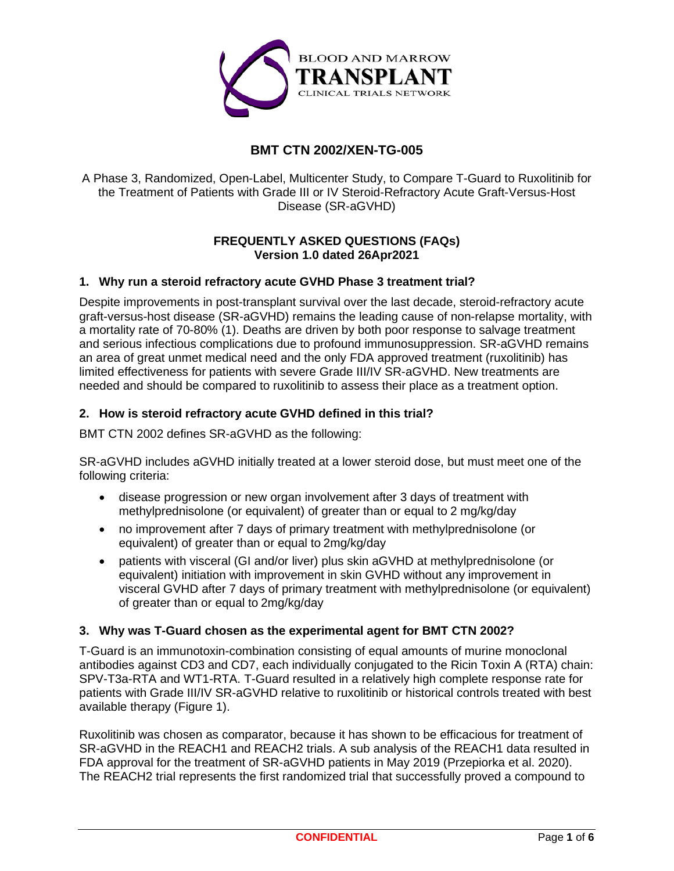

# **BMT CTN 2002/XEN-TG-005**

A Phase 3, Randomized, Open-Label, Multicenter Study, to Compare T-Guard to Ruxolitinib for the Treatment of Patients with Grade III or IV Steroid-Refractory Acute Graft-Versus-Host Disease (SR-aGVHD)

# **FREQUENTLY ASKED QUESTIONS (FAQs) Version 1.0 dated 26Apr2021**

# **1. Why run a steroid refractory acute GVHD Phase 3 treatment trial?**

Despite improvements in post-transplant survival over the last decade, steroid-refractory acute graft-versus-host disease (SR-aGVHD) remains the leading cause of non-relapse mortality, with a mortality rate of 70-80% (1). Deaths are driven by both poor response to salvage treatment and serious infectious complications due to profound immunosuppression. SR-aGVHD remains an area of great unmet medical need and the only FDA approved treatment (ruxolitinib) has limited effectiveness for patients with severe Grade III/IV SR-aGVHD. New treatments are needed and should be compared to ruxolitinib to assess their place as a treatment option.

## **2. How is steroid refractory acute GVHD defined in this trial?**

BMT CTN 2002 defines SR-aGVHD as the following:

SR-aGVHD includes aGVHD initially treated at a lower steroid dose, but must meet one of the following criteria:

- disease progression or new organ involvement after 3 days of treatment with methylprednisolone (or equivalent) of greater than or equal to 2 mg/kg/day
- no improvement after 7 days of primary treatment with methylprednisolone (or equivalent) of greater than or equal to 2mg/kg/day
- patients with visceral (GI and/or liver) plus skin aGVHD at methylprednisolone (or equivalent) initiation with improvement in skin GVHD without any improvement in visceral GVHD after 7 days of primary treatment with methylprednisolone (or equivalent) of greater than or equal to 2mg/kg/day

# **3. Why was T-Guard chosen as the experimental agent for BMT CTN 2002?**

T-Guard is an immunotoxin-combination consisting of equal amounts of murine monoclonal antibodies against CD3 and CD7, each individually conjugated to the Ricin Toxin A (RTA) chain: SPV-T3a-RTA and WT1-RTA. T-Guard resulted in a relatively high complete response rate for patients with Grade III/IV SR-aGVHD relative to ruxolitinib or historical controls treated with best available therapy (Figure 1).

Ruxolitinib was chosen as comparator, because it has shown to be efficacious for treatment of SR-aGVHD in the REACH1 and REACH2 trials. A sub analysis of the REACH1 data resulted in FDA approval for the treatment of SR-aGVHD patients in May 2019 (Przepiorka et al. 2020). The REACH2 trial represents the first randomized trial that successfully proved a compound to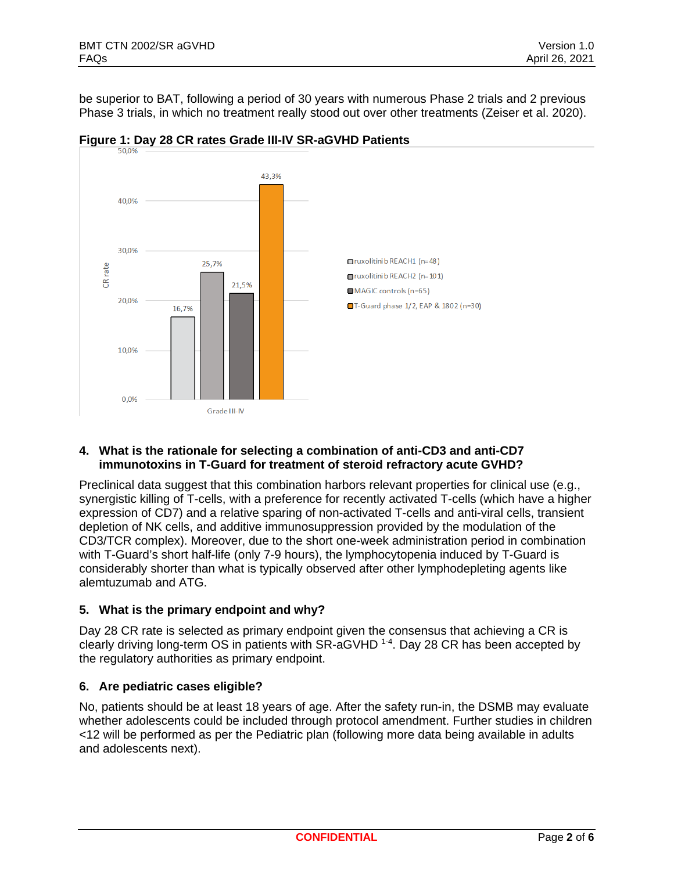be superior to BAT, following a period of 30 years with numerous Phase 2 trials and 2 previous Phase 3 trials, in which no treatment really stood out over other treatments (Zeiser et al. 2020).





## **4. What is the rationale for selecting a combination of anti-CD3 and anti-CD7 immunotoxins in T-Guard for treatment of steroid refractory acute GVHD?**

Preclinical data suggest that this combination harbors relevant properties for clinical use (e.g., synergistic killing of T-cells, with a preference for recently activated T-cells (which have a higher expression of CD7) and a relative sparing of non-activated T-cells and anti-viral cells, transient depletion of NK cells, and additive immunosuppression provided by the modulation of the CD3/TCR complex). Moreover, due to the short one-week administration period in combination with T-Guard's short half-life (only 7-9 hours), the lymphocytopenia induced by T-Guard is considerably shorter than what is typically observed after other lymphodepleting agents like alemtuzumab and ATG.

# **5. What is the primary endpoint and why?**

Day 28 CR rate is selected as primary endpoint given the consensus that achieving a CR is clearly driving long-term OS in patients with SR-aGVHD <sup>1-4</sup>. Day 28 CR has been accepted by the regulatory authorities as primary endpoint.

# **6. Are pediatric cases eligible?**

No, patients should be at least 18 years of age. After the safety run-in, the DSMB may evaluate whether adolescents could be included through protocol amendment. Further studies in children <12 will be performed as per the Pediatric plan (following more data being available in adults and adolescents next).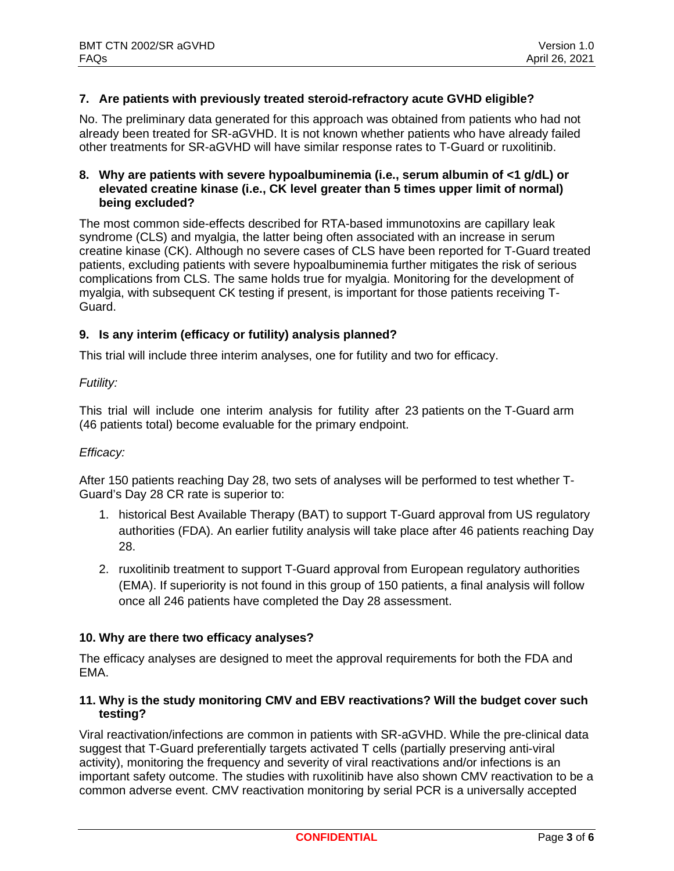# **7. Are patients with previously treated steroid-refractory acute GVHD eligible?**

No. The preliminary data generated for this approach was obtained from patients who had not already been treated for SR-aGVHD. It is not known whether patients who have already failed other treatments for SR-aGVHD will have similar response rates to T-Guard or ruxolitinib.

# **8. Why are patients with severe hypoalbuminemia (i.e., serum albumin of <1 g/dL) or elevated creatine kinase (i.e., CK level greater than 5 times upper limit of normal) being excluded?**

The most common side-effects described for RTA-based immunotoxins are capillary leak syndrome (CLS) and myalgia, the latter being often associated with an increase in serum creatine kinase (CK). Although no severe cases of CLS have been reported for T-Guard treated patients, excluding patients with severe hypoalbuminemia further mitigates the risk of serious complications from CLS. The same holds true for myalgia. Monitoring for the development of myalgia, with subsequent CK testing if present, is important for those patients receiving T-Guard.

#### **9. Is any interim (efficacy or futility) analysis planned?**

This trial will include three interim analyses, one for futility and two for efficacy.

#### *Futility:*

This trial will include one interim analysis for futility after 23 patients on the T-Guard arm (46 patients total) become evaluable for the primary endpoint.

#### *Efficacy:*

After 150 patients reaching Day 28, two sets of analyses will be performed to test whether T-Guard's Day 28 CR rate is superior to:

- 1. historical Best Available Therapy (BAT) to support T-Guard approval from US regulatory authorities (FDA). An earlier futility analysis will take place after 46 patients reaching Day 28.
- 2. ruxolitinib treatment to support T-Guard approval from European regulatory authorities (EMA). If superiority is not found in this group of 150 patients, a final analysis will follow once all 246 patients have completed the Day 28 assessment.

#### **10. Why are there two efficacy analyses?**

The efficacy analyses are designed to meet the approval requirements for both the FDA and EMA.

## **11. Why is the study monitoring CMV and EBV reactivations? Will the budget cover such testing?**

Viral reactivation/infections are common in patients with SR-aGVHD. While the pre-clinical data suggest that T-Guard preferentially targets activated T cells (partially preserving anti-viral activity), monitoring the frequency and severity of viral reactivations and/or infections is an important safety outcome. The studies with ruxolitinib have also shown CMV reactivation to be a common adverse event. CMV reactivation monitoring by serial PCR is a universally accepted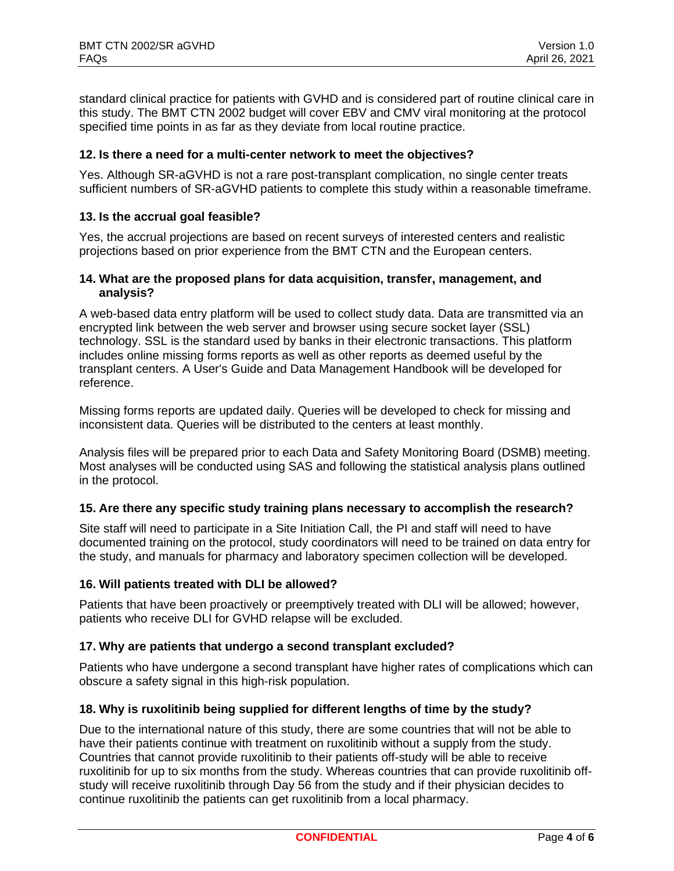standard clinical practice for patients with GVHD and is considered part of routine clinical care in this study. The BMT CTN 2002 budget will cover EBV and CMV viral monitoring at the protocol specified time points in as far as they deviate from local routine practice.

# **12. Is there a need for a multi-center network to meet the objectives?**

Yes. Although SR-aGVHD is not a rare post-transplant complication, no single center treats sufficient numbers of SR-aGVHD patients to complete this study within a reasonable timeframe.

# **13. Is the accrual goal feasible?**

Yes, the accrual projections are based on recent surveys of interested centers and realistic projections based on prior experience from the BMT CTN and the European centers.

## **14. What are the proposed plans for data acquisition, transfer, management, and analysis?**

A web-based data entry platform will be used to collect study data. Data are transmitted via an encrypted link between the web server and browser using secure socket layer (SSL) technology. SSL is the standard used by banks in their electronic transactions. This platform includes online missing forms reports as well as other reports as deemed useful by the transplant centers. A User's Guide and Data Management Handbook will be developed for reference.

Missing forms reports are updated daily. Queries will be developed to check for missing and inconsistent data. Queries will be distributed to the centers at least monthly.

Analysis files will be prepared prior to each Data and Safety Monitoring Board (DSMB) meeting. Most analyses will be conducted using SAS and following the statistical analysis plans outlined in the protocol.

#### **15. Are there any specific study training plans necessary to accomplish the research?**

Site staff will need to participate in a Site Initiation Call, the PI and staff will need to have documented training on the protocol, study coordinators will need to be trained on data entry for the study, and manuals for pharmacy and laboratory specimen collection will be developed.

#### **16. Will patients treated with DLI be allowed?**

Patients that have been proactively or preemptively treated with DLI will be allowed; however, patients who receive DLI for GVHD relapse will be excluded.

# **17. Why are patients that undergo a second transplant excluded?**

Patients who have undergone a second transplant have higher rates of complications which can obscure a safety signal in this high-risk population.

#### **18. Why is ruxolitinib being supplied for different lengths of time by the study?**

Due to the international nature of this study, there are some countries that will not be able to have their patients continue with treatment on ruxolitinib without a supply from the study. Countries that cannot provide ruxolitinib to their patients off-study will be able to receive ruxolitinib for up to six months from the study. Whereas countries that can provide ruxolitinib offstudy will receive ruxolitinib through Day 56 from the study and if their physician decides to continue ruxolitinib the patients can get ruxolitinib from a local pharmacy.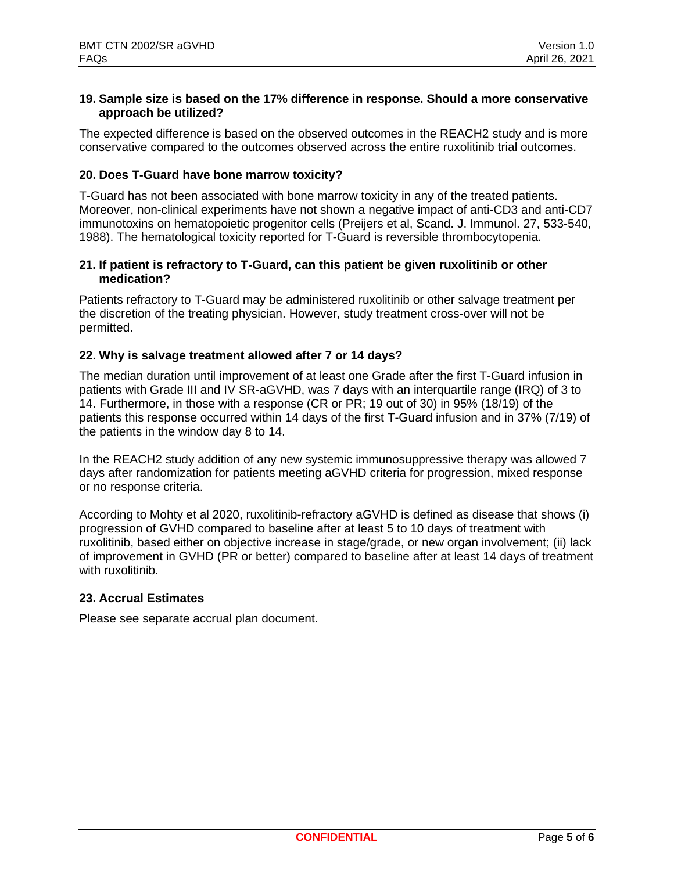## **19. Sample size is based on the 17% difference in response. Should a more conservative approach be utilized?**

The expected difference is based on the observed outcomes in the REACH2 study and is more conservative compared to the outcomes observed across the entire ruxolitinib trial outcomes.

# **20. Does T-Guard have bone marrow toxicity?**

T-Guard has not been associated with bone marrow toxicity in any of the treated patients. Moreover, non-clinical experiments have not shown a negative impact of anti-CD3 and anti-CD7 immunotoxins on hematopoietic progenitor cells (Preijers et al, Scand. J. Immunol. 27, 533-540, 1988). The hematological toxicity reported for T-Guard is reversible thrombocytopenia.

## **21. If patient is refractory to T-Guard, can this patient be given ruxolitinib or other medication?**

Patients refractory to T-Guard may be administered ruxolitinib or other salvage treatment per the discretion of the treating physician. However, study treatment cross-over will not be permitted.

## **22. Why is salvage treatment allowed after 7 or 14 days?**

The median duration until improvement of at least one Grade after the first T-Guard infusion in patients with Grade III and IV SR-aGVHD, was 7 days with an interquartile range (IRQ) of 3 to 14. Furthermore, in those with a response (CR or PR; 19 out of 30) in 95% (18/19) of the patients this response occurred within 14 days of the first T-Guard infusion and in 37% (7/19) of the patients in the window day 8 to 14.

In the REACH2 study addition of any new systemic immunosuppressive therapy was allowed 7 days after randomization for patients meeting aGVHD criteria for progression, mixed response or no response criteria.

According to Mohty et al 2020, ruxolitinib-refractory aGVHD is defined as disease that shows (i) progression of GVHD compared to baseline after at least 5 to 10 days of treatment with ruxolitinib, based either on objective increase in stage/grade, or new organ involvement; (ii) lack of improvement in GVHD (PR or better) compared to baseline after at least 14 days of treatment with ruxolitinib.

#### **23. Accrual Estimates**

Please see separate accrual plan document.